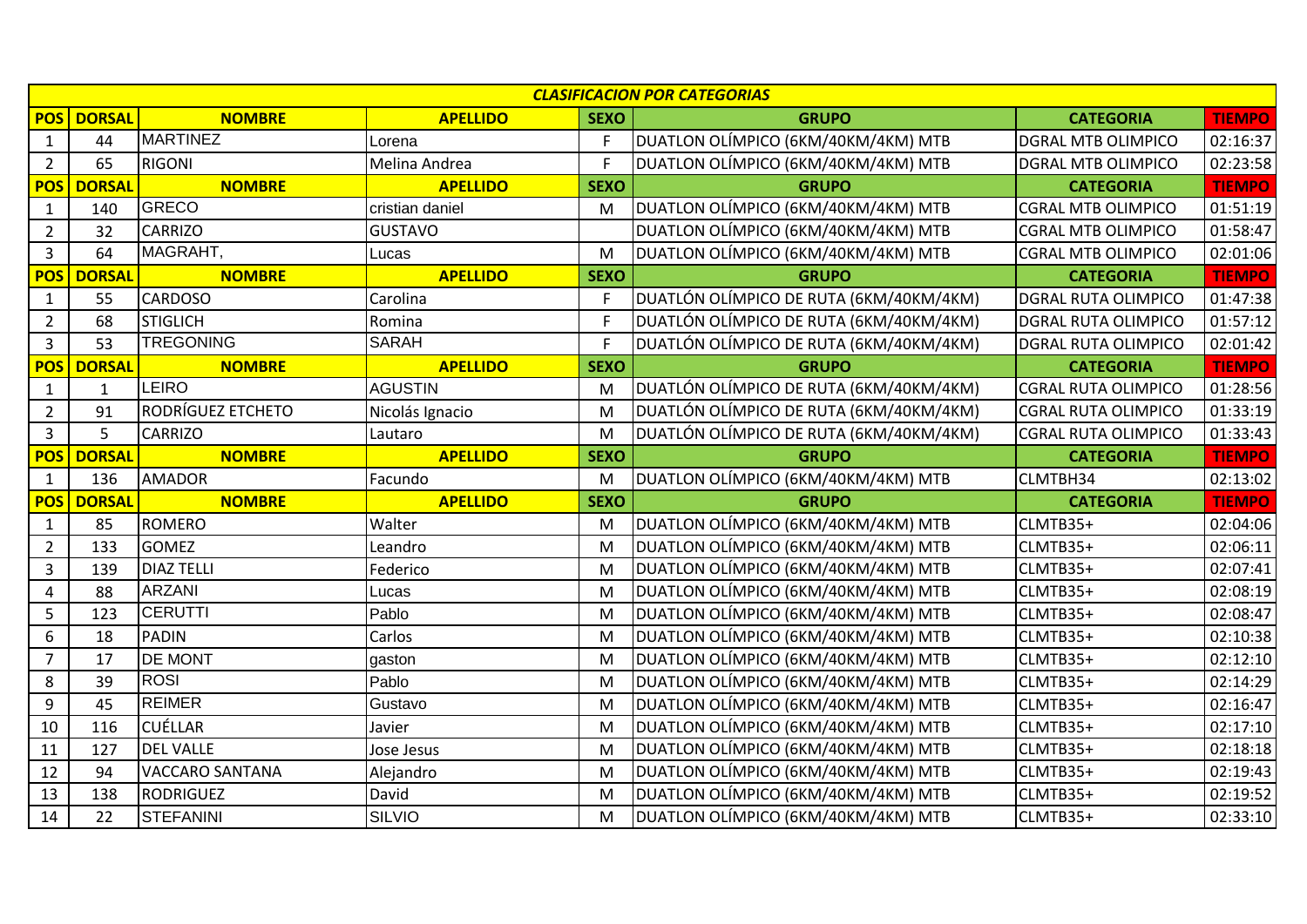| <b>CLASIFICACION POR CATEGORIAS</b> |               |                        |                 |             |                                         |                            |               |  |
|-------------------------------------|---------------|------------------------|-----------------|-------------|-----------------------------------------|----------------------------|---------------|--|
| <b>POS</b>                          | <b>DORSAL</b> | <b>NOMBRE</b>          | <b>APELLIDO</b> | <b>SEXO</b> | <b>GRUPO</b>                            | <b>CATEGORIA</b>           | <b>TIEMPO</b> |  |
| $\mathbf{1}$                        | 44            | <b>MARTINEZ</b>        | Lorena          | F           | DUATLON OLÍMPICO (6KM/40KM/4KM) MTB     | <b>DGRAL MTB OLIMPICO</b>  | 02:16:37      |  |
| $\overline{2}$                      | 65            | <b>RIGONI</b>          | Melina Andrea   | F           | DUATLON OLÍMPICO (6KM/40KM/4KM) MTB     | <b>DGRAL MTB OLIMPICO</b>  | 02:23:58      |  |
| <b>POS</b>                          | <b>DORSAL</b> | <b>NOMBRE</b>          | <b>APELLIDO</b> | <b>SEXO</b> | <b>GRUPO</b>                            | <b>CATEGORIA</b>           | <b>TIEMPO</b> |  |
| $\mathbf{1}$                        | 140           | <b>GRECO</b>           | cristian daniel | M           | DUATLON OLÍMPICO (6KM/40KM/4KM) MTB     | <b>CGRAL MTB OLIMPICO</b>  | 01:51:19      |  |
| $\overline{2}$                      | 32            | <b>CARRIZO</b>         | <b>GUSTAVO</b>  |             | DUATLON OLÍMPICO (6KM/40KM/4KM) MTB     | <b>CGRAL MTB OLIMPICO</b>  | 01:58:47      |  |
| $\overline{3}$                      | 64            | MAGRAHT,               | Lucas           | M           | DUATLON OLÍMPICO (6KM/40KM/4KM) MTB     | <b>CGRAL MTB OLIMPICO</b>  | 02:01:06      |  |
| <b>POS</b>                          | <b>DORSAL</b> | <b>NOMBRE</b>          | <b>APELLIDO</b> | <b>SEXO</b> | <b>GRUPO</b>                            | <b>CATEGORIA</b>           | <b>TIEMPO</b> |  |
| $\mathbf{1}$                        | 55            | <b>CARDOSO</b>         | Carolina        | F           | DUATLÓN OLÍMPICO DE RUTA (6KM/40KM/4KM) | <b>DGRAL RUTA OLIMPICO</b> | 01:47:38      |  |
| $\overline{2}$                      | 68            | <b>STIGLICH</b>        | Romina          | F           | DUATLÓN OLÍMPICO DE RUTA (6KM/40KM/4KM) | DGRAL RUTA OLIMPICO        | 01:57:12      |  |
| $\overline{3}$                      | 53            | <b>TREGONING</b>       | <b>SARAH</b>    | F           | DUATLÓN OLÍMPICO DE RUTA (6KM/40KM/4KM) | <b>DGRAL RUTA OLIMPICO</b> | 02:01:42      |  |
| <b>POS</b>                          | <b>DORSAL</b> | <b>NOMBRE</b>          | <b>APELLIDO</b> | <b>SEXO</b> | <b>GRUPO</b>                            | <b>CATEGORIA</b>           | <b>TIEMPO</b> |  |
| $\mathbf{1}$                        | $\mathbf{1}$  | <b>LEIRO</b>           | <b>AGUSTIN</b>  | M           | DUATLÓN OLÍMPICO DE RUTA (6KM/40KM/4KM) | <b>CGRAL RUTA OLIMPICO</b> | 01:28:56      |  |
| $\overline{2}$                      | 91            | RODRÍGUEZ ETCHETO      | Nicolás Ignacio | M           | DUATLÓN OLÍMPICO DE RUTA (6KM/40KM/4KM) | <b>CGRAL RUTA OLIMPICO</b> | 01:33:19      |  |
| $\overline{3}$                      | 5             | <b>CARRIZO</b>         | Lautaro         | M           | DUATLÓN OLÍMPICO DE RUTA (6KM/40KM/4KM) | <b>CGRAL RUTA OLIMPICO</b> | 01:33:43      |  |
| <b>POS</b>                          | <b>DORSAL</b> | <b>NOMBRE</b>          | <b>APELLIDO</b> | <b>SEXO</b> | <b>GRUPO</b>                            | <b>CATEGORIA</b>           | <b>TIEMPO</b> |  |
| $\mathbf{1}$                        | 136           | <b>AMADOR</b>          | Facundo         | M           | DUATLON OLÍMPICO (6KM/40KM/4KM) MTB     | CLMTBH34                   | 02:13:02      |  |
| <b>POS</b>                          | <b>DORSAL</b> | <b>NOMBRE</b>          | <b>APELLIDO</b> | <b>SEXO</b> | <b>GRUPO</b>                            | <b>CATEGORIA</b>           | <b>TIEMPO</b> |  |
| $\mathbf{1}$                        | 85            | <b>ROMERO</b>          | Walter          | M           | DUATLON OLÍMPICO (6KM/40KM/4KM) MTB     | CLMTB35+                   | 02:04:06      |  |
| $\overline{2}$                      | 133           | <b>GOMEZ</b>           | Leandro         | M           | DUATLON OLÍMPICO (6KM/40KM/4KM) MTB     | CLMTB35+                   | 02:06:11      |  |
| 3                                   | 139           | <b>DIAZ TELLI</b>      | Federico        | M           | DUATLON OLÍMPICO (6KM/40KM/4KM) MTB     | CLMTB35+                   | 02:07:41      |  |
| 4                                   | 88            | <b>ARZANI</b>          | Lucas           | M           | DUATLON OLÍMPICO (6KM/40KM/4KM) MTB     | CLMTB35+                   | 02:08:19      |  |
| 5                                   | 123           | <b>CERUTTI</b>         | Pablo           | M           | DUATLON OLÍMPICO (6KM/40KM/4KM) MTB     | CLMTB35+                   | 02:08:47      |  |
| 6                                   | 18            | PADIN                  | Carlos          | M           | DUATLON OLÍMPICO (6KM/40KM/4KM) MTB     | CLMTB35+                   | 02:10:38      |  |
| $\overline{7}$                      | 17            | DE MONT                | gaston          | M           | DUATLON OLÍMPICO (6KM/40KM/4KM) MTB     | CLMTB35+                   | 02:12:10      |  |
| 8                                   | 39            | <b>ROSI</b>            | Pablo           | M           | DUATLON OLÍMPICO (6KM/40KM/4KM) MTB     | CLMTB35+                   | 02:14:29      |  |
| 9                                   | 45            | <b>REIMER</b>          | Gustavo         | M           | DUATLON OLÍMPICO (6KM/40KM/4KM) MTB     | CLMTB35+                   | 02:16:47      |  |
| 10                                  | 116           | <b>CUÉLLAR</b>         | Javier          | M           | DUATLON OLÍMPICO (6KM/40KM/4KM) MTB     | CLMTB35+                   | 02:17:10      |  |
| 11                                  | 127           | <b>DEL VALLE</b>       | Jose Jesus      | M           | DUATLON OLÍMPICO (6KM/40KM/4KM) MTB     | CLMTB35+                   | 02:18:18      |  |
| 12                                  | 94            | <b>VACCARO SANTANA</b> | Alejandro       | M           | DUATLON OLÍMPICO (6KM/40KM/4KM) MTB     | CLMTB35+                   | 02:19:43      |  |
| 13                                  | 138           | <b>RODRIGUEZ</b>       | David           | M           | DUATLON OLÍMPICO (6KM/40KM/4KM) MTB     | CLMTB35+                   | 02:19:52      |  |
| 14                                  | 22            | <b>STEFANINI</b>       | <b>SILVIO</b>   | M           | DUATLON OLÍMPICO (6KM/40KM/4KM) MTB     | CLMTB35+                   | 02:33:10      |  |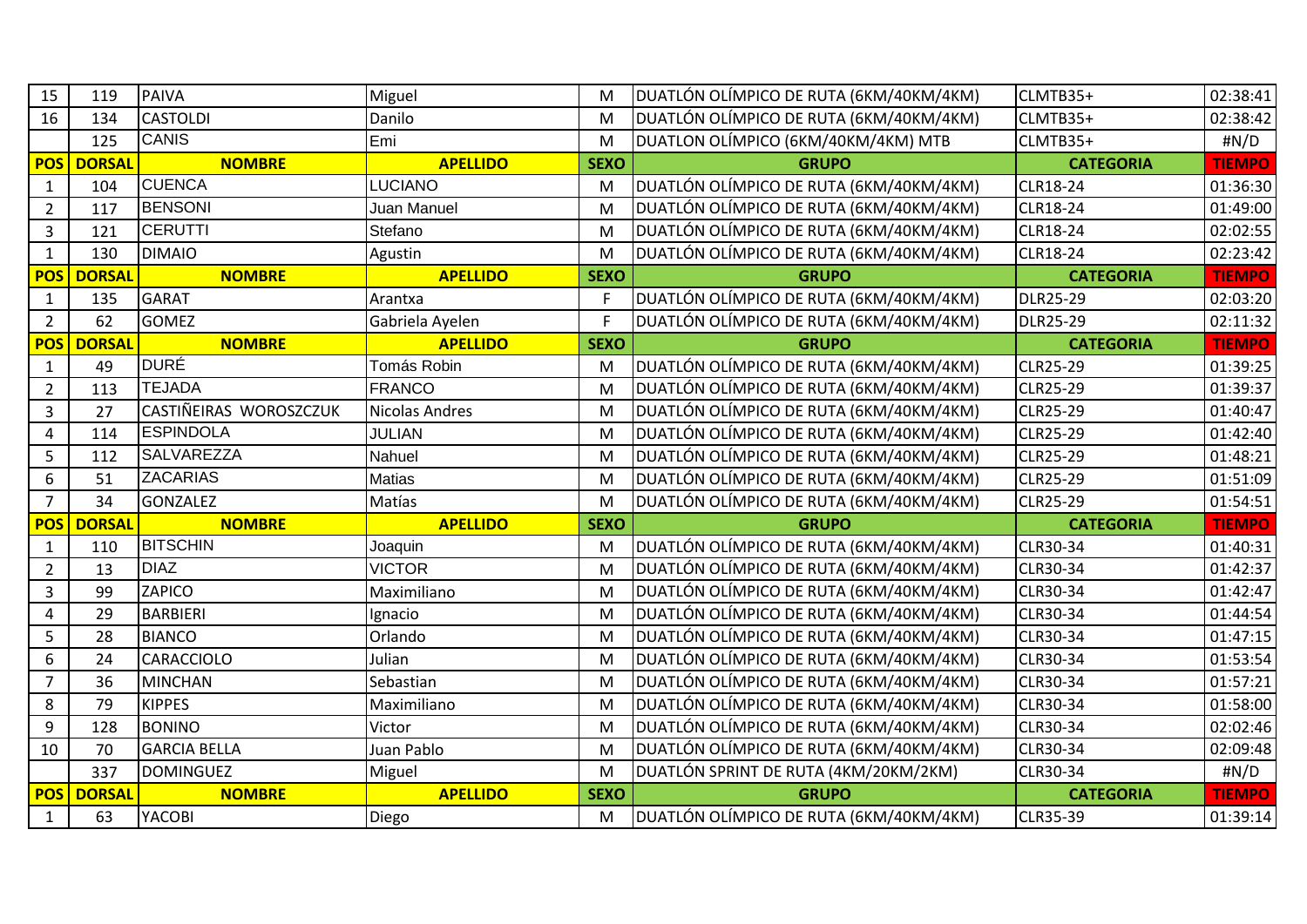| 15             | 119           | <b>PAIVA</b>           | Miguel                | M           | DUATLÓN OLÍMPICO DE RUTA (6KM/40KM/4KM) | CLMTB35+         | 02:38:41      |
|----------------|---------------|------------------------|-----------------------|-------------|-----------------------------------------|------------------|---------------|
| 16             | 134           | <b>CASTOLDI</b>        | Danilo                | M           | DUATLÓN OLÍMPICO DE RUTA (6KM/40KM/4KM) | CLMTB35+         | 02:38:42      |
|                | 125           | <b>CANIS</b>           | Emi                   | M           | DUATLON OLÍMPICO (6KM/40KM/4KM) MTB     | CLMTB35+         | #N/D          |
| <b>POS</b>     | <b>DORSAL</b> | <b>NOMBRE</b>          | <b>APELLIDO</b>       | <b>SEXO</b> | <b>GRUPO</b>                            | <b>CATEGORIA</b> | <b>TIEMPO</b> |
| $\mathbf{1}$   | 104           | <b>CUENCA</b>          | <b>LUCIANO</b>        | M           | DUATLÓN OLÍMPICO DE RUTA (6KM/40KM/4KM) | <b>CLR18-24</b>  | 01:36:30      |
| $2^{\circ}$    | 117           | <b>BENSONI</b>         | Juan Manuel           | M           | DUATLÓN OLÍMPICO DE RUTA (6KM/40KM/4KM) | <b>CLR18-24</b>  | 01:49:00      |
| 3              | 121           | <b>CERUTTI</b>         | Stefano               | M           | DUATLÓN OLÍMPICO DE RUTA (6KM/40KM/4KM) | <b>CLR18-24</b>  | 02:02:55      |
| $\mathbf{1}$   | 130           | <b>DIMAIO</b>          | Agustin               | M           | DUATLÓN OLÍMPICO DE RUTA (6KM/40KM/4KM) | <b>CLR18-24</b>  | 02:23:42      |
| <b>POS</b>     | <b>DORSAL</b> | <b>NOMBRE</b>          | <b>APELLIDO</b>       | <b>SEXO</b> | <b>GRUPO</b>                            | <b>CATEGORIA</b> | <b>TIEMPO</b> |
| $\mathbf{1}$   | 135           | <b>GARAT</b>           | Arantxa               | F.          | DUATLÓN OLÍMPICO DE RUTA (6KM/40KM/4KM) | <b>DLR25-29</b>  | 02:03:20      |
| $2^{\circ}$    | 62            | <b>GOMEZ</b>           | Gabriela Ayelen       | F           | DUATLÓN OLÍMPICO DE RUTA (6KM/40KM/4KM) | <b>DLR25-29</b>  | 02:11:32      |
| <b>POS</b>     | <b>DORSAL</b> | <b>NOMBRE</b>          | <b>APELLIDO</b>       | <b>SEXO</b> | <b>GRUPO</b>                            | <b>CATEGORIA</b> | <b>TIEMPO</b> |
| $\mathbf{1}$   | 49            | <b>DURÉ</b>            | Tomás Robin           | M           | DUATLÓN OLÍMPICO DE RUTA (6KM/40KM/4KM) | <b>CLR25-29</b>  | 01:39:25      |
| $2^{\circ}$    | 113           | <b>TEJADA</b>          | <b>FRANCO</b>         | M           | DUATLÓN OLÍMPICO DE RUTA (6KM/40KM/4KM) | <b>CLR25-29</b>  | 01:39:37      |
| $\overline{3}$ | 27            | CASTIÑEIRAS WOROSZCZUK | <b>Nicolas Andres</b> | M           | DUATLÓN OLÍMPICO DE RUTA (6KM/40KM/4KM) | <b>CLR25-29</b>  | 01:40:47      |
| 4              | 114           | <b>ESPINDOLA</b>       | <b>JULIAN</b>         | M           | DUATLÓN OLÍMPICO DE RUTA (6KM/40KM/4KM) | <b>CLR25-29</b>  | 01:42:40      |
| 5              | 112           | <b>SALVAREZZA</b>      | Nahuel                | M           | DUATLÓN OLÍMPICO DE RUTA (6KM/40KM/4KM) | <b>CLR25-29</b>  | 01:48:21      |
| 6              | 51            | <b>ZACARIAS</b>        | <b>Matias</b>         | M           | DUATLÓN OLÍMPICO DE RUTA (6KM/40KM/4KM) | <b>CLR25-29</b>  | 01:51:09      |
| $\overline{7}$ | 34            | GONZALEZ               | Matías                | M           | DUATLÓN OLÍMPICO DE RUTA (6KM/40KM/4KM) | <b>CLR25-29</b>  | 01:54:51      |
| <b>POS</b>     | <b>DORSAL</b> | <b>NOMBRE</b>          | <b>APELLIDO</b>       | <b>SEXO</b> | <b>GRUPO</b>                            | <b>CATEGORIA</b> | <b>TIEMPO</b> |
| $\mathbf{1}$   | 110           | <b>BITSCHIN</b>        | Joaquin               | M           | DUATLÓN OLÍMPICO DE RUTA (6KM/40KM/4KM) | CLR30-34         | 01:40:31      |
| $2^{\circ}$    | 13            | <b>DIAZ</b>            | <b>VICTOR</b>         | M           | DUATLÓN OLÍMPICO DE RUTA (6KM/40KM/4KM) | CLR30-34         | 01:42:37      |
| $\overline{3}$ | 99            | ZAPICO                 | Maximiliano           | M           | DUATLÓN OLÍMPICO DE RUTA (6KM/40KM/4KM) | CLR30-34         | 01:42:47      |
| 4              | 29            | <b>BARBIERI</b>        | Ignacio               | M           | DUATLÓN OLÍMPICO DE RUTA (6KM/40KM/4KM) | CLR30-34         | 01:44:54      |
| 5              | 28            | <b>BIANCO</b>          | Orlando               | M           | DUATLÓN OLÍMPICO DE RUTA (6KM/40KM/4KM) | CLR30-34         | 01:47:15      |
| 6              | 24            | <b>CARACCIOLO</b>      | Julian                | M           | DUATLÓN OLÍMPICO DE RUTA (6KM/40KM/4KM) | CLR30-34         | 01:53:54      |
| $\overline{7}$ | 36            | <b>MINCHAN</b>         | Sebastian             | M           | DUATLÓN OLÍMPICO DE RUTA (6KM/40KM/4KM) | CLR30-34         | 01:57:21      |
| 8              | 79            | <b>KIPPES</b>          | Maximiliano           | M           | DUATLÓN OLÍMPICO DE RUTA (6KM/40KM/4KM) | CLR30-34         | 01:58:00      |
| 9              | 128           | <b>BONINO</b>          | Victor                | M           | DUATLÓN OLÍMPICO DE RUTA (6KM/40KM/4KM) | <b>CLR30-34</b>  | 02:02:46      |
| 10             | 70            | <b>GARCIA BELLA</b>    | Juan Pablo            | M           | DUATLÓN OLÍMPICO DE RUTA (6KM/40KM/4KM) | CLR30-34         | 02:09:48      |
|                | 337           | <b>DOMINGUEZ</b>       | Miguel                | M           | DUATLÓN SPRINT DE RUTA (4KM/20KM/2KM)   | CLR30-34         | #N/D          |
| <b>POS</b>     | <b>DORSAL</b> | <b>NOMBRE</b>          | <b>APELLIDO</b>       | <b>SEXO</b> | <b>GRUPO</b>                            | <b>CATEGORIA</b> | <b>TIEMPO</b> |
| $\mathbf{1}$   | 63            | YACOBI                 | Diego                 | M           | DUATLÓN OLÍMPICO DE RUTA (6KM/40KM/4KM) | <b>CLR35-39</b>  | 01:39:14      |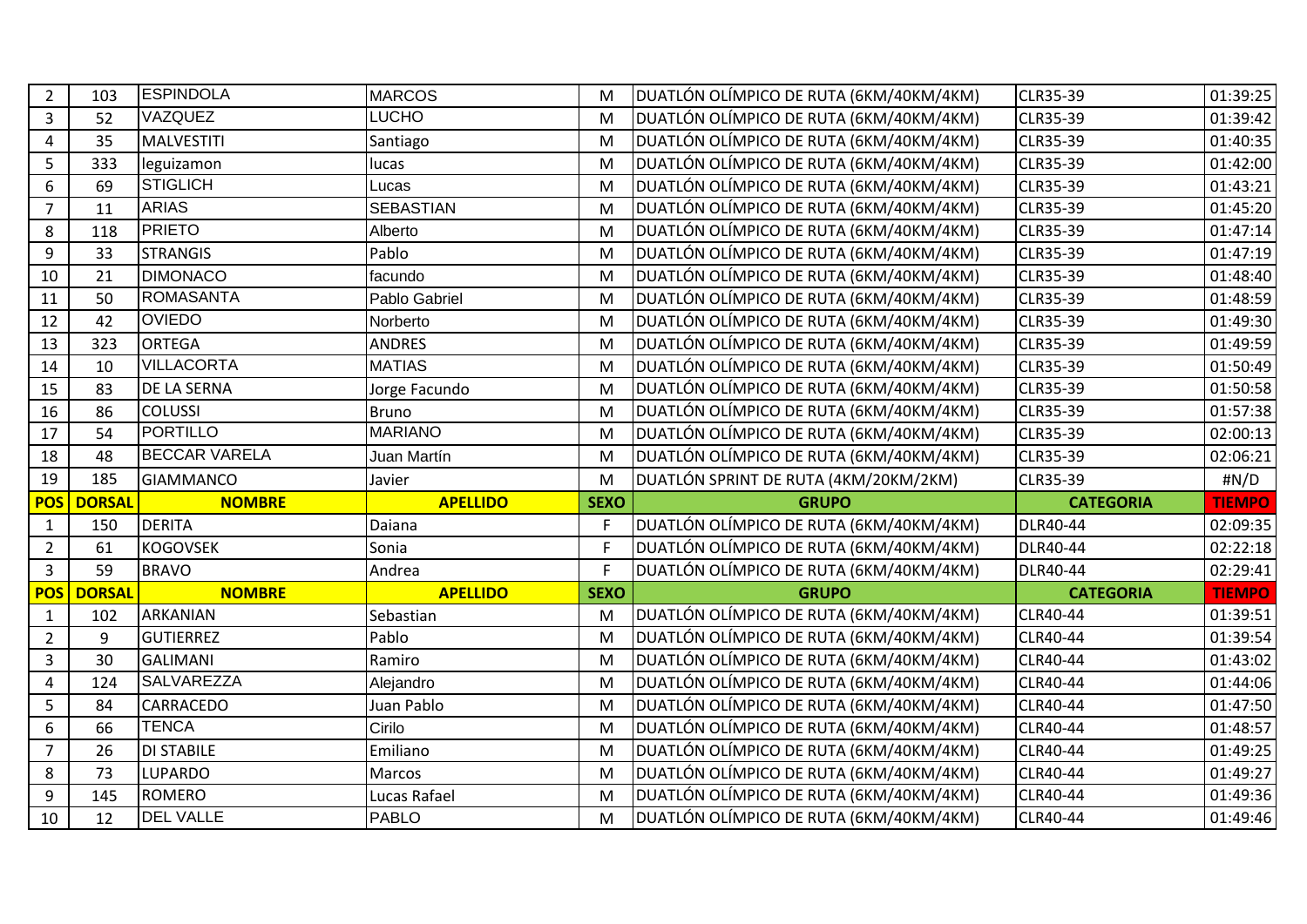| $2^{\circ}$    | 103           | <b>ESPINDOLA</b>     | <b>MARCOS</b>    | M              | DUATLÓN OLÍMPICO DE RUTA (6KM/40KM/4KM) | <b>CLR35-39</b>  | 01:39:25                  |
|----------------|---------------|----------------------|------------------|----------------|-----------------------------------------|------------------|---------------------------|
| $\overline{3}$ | 52            | <b>VAZQUEZ</b>       | <b>LUCHO</b>     | M              | DUATLÓN OLÍMPICO DE RUTA (6KM/40KM/4KM) | CLR35-39         | 01:39:42                  |
| $\overline{4}$ | 35            | <b>MALVESTITI</b>    | Santiago         | M              | DUATLÓN OLÍMPICO DE RUTA (6KM/40KM/4KM) | <b>CLR35-39</b>  | 01:40:35                  |
| 5              | 333           | leguizamon           | lucas            | M              | DUATLÓN OLÍMPICO DE RUTA (6KM/40KM/4KM) | <b>CLR35-39</b>  | 01:42:00                  |
| 6              | 69            | <b>STIGLICH</b>      | Lucas            | M              | DUATLÓN OLÍMPICO DE RUTA (6KM/40KM/4KM) | <b>CLR35-39</b>  | 01:43:21                  |
| $\overline{7}$ | 11            | <b>ARIAS</b>         | <b>SEBASTIAN</b> | M              | DUATLÓN OLÍMPICO DE RUTA (6KM/40KM/4KM) | CLR35-39         | 01:45:20                  |
| 8              | 118           | <b>PRIETO</b>        | Alberto          | M              | DUATLÓN OLÍMPICO DE RUTA (6KM/40KM/4KM) | CLR35-39         | 01:47:14                  |
| 9              | 33            | <b>STRANGIS</b>      | Pablo            | M              | DUATLÓN OLÍMPICO DE RUTA (6KM/40KM/4KM) | CLR35-39         | 01:47:19                  |
| 10             | 21            | <b>DIMONACO</b>      | facundo          | M              | DUATLÓN OLÍMPICO DE RUTA (6KM/40KM/4KM) | <b>CLR35-39</b>  | 01:48:40                  |
| 11             | 50            | <b>ROMASANTA</b>     | Pablo Gabriel    | M              | DUATLÓN OLÍMPICO DE RUTA (6KM/40KM/4KM) | <b>CLR35-39</b>  | 01:48:59                  |
| 12             | 42            | <b>OVIEDO</b>        | Norberto         | M              | DUATLÓN OLÍMPICO DE RUTA (6KM/40KM/4KM) | CLR35-39         | 01:49:30                  |
| 13             | 323           | <b>ORTEGA</b>        | <b>ANDRES</b>    | M              | DUATLÓN OLÍMPICO DE RUTA (6KM/40KM/4KM) | CLR35-39         | 01:49:59                  |
| 14             | 10            | <b>VILLACORTA</b>    | <b>MATIAS</b>    | M              | DUATLÓN OLÍMPICO DE RUTA (6KM/40KM/4KM) | <b>CLR35-39</b>  | 01:50:49                  |
| 15             | 83            | <b>DE LA SERNA</b>   | Jorge Facundo    | M              | DUATLÓN OLÍMPICO DE RUTA (6KM/40KM/4KM) | CLR35-39         | 01:50:58                  |
| 16             | 86            | <b>COLUSSI</b>       | <b>Bruno</b>     | M              | DUATLÓN OLÍMPICO DE RUTA (6KM/40KM/4KM) | <b>CLR35-39</b>  | 01:57:38                  |
| 17             | 54            | <b>PORTILLO</b>      | <b>MARIANO</b>   | M              | DUATLÓN OLÍMPICO DE RUTA (6KM/40KM/4KM) | <b>CLR35-39</b>  | 02:00:13                  |
| 18             | 48            | <b>BECCAR VARELA</b> | Juan Martín      | M              | DUATLÓN OLÍMPICO DE RUTA (6KM/40KM/4KM) | <b>CLR35-39</b>  | 02:06:21                  |
| 19             | 185           | <b>GIAMMANCO</b>     | Javier           | M              | DUATLÓN SPRINT DE RUTA (4KM/20KM/2KM)   | CLR35-39         | #N/D                      |
| <b>POS</b>     | <b>DORSAL</b> | <b>NOMBRE</b>        | <b>APELLIDO</b>  | <b>SEXO</b>    | <b>GRUPO</b>                            | <b>CATEGORIA</b> | <b>TIEMPO</b>             |
| $\mathbf{1}$   | 150           | <b>DERITA</b>        | Daiana           | F              | DUATLÓN OLÍMPICO DE RUTA (6KM/40KM/4KM) | <b>DLR40-44</b>  | 02:09:35                  |
| $\overline{2}$ | 61            | <b>KOGOVSEK</b>      | Sonia            | $\overline{F}$ | DUATLÓN OLÍMPICO DE RUTA (6KM/40KM/4KM) | <b>DLR40-44</b>  | 02:22:18                  |
| $\overline{3}$ | 59            | <b>BRAVO</b>         | Andrea           | $\mathsf{F}$   | DUATLÓN OLÍMPICO DE RUTA (6KM/40KM/4KM) |                  | 02:29:41                  |
| <b>POS</b>     | <b>DORSAL</b> |                      |                  |                |                                         | <b>DLR40-44</b>  |                           |
|                |               | <b>NOMBRE</b>        | <b>APELLIDO</b>  | <b>SEXO</b>    | <b>GRUPO</b>                            | <b>CATEGORIA</b> |                           |
| $\mathbf{1}$   | 102           | <b>ARKANIAN</b>      | Sebastian        | M              | DUATLÓN OLÍMPICO DE RUTA (6KM/40KM/4KM) | <b>CLR40-44</b>  | <b>TIEMPO</b><br>01:39:51 |
| $\overline{2}$ | 9             | <b>GUTIERREZ</b>     | Pablo            | M              | DUATLÓN OLÍMPICO DE RUTA (6KM/40KM/4KM) | CLR40-44         | 01:39:54                  |
| 3              | 30            | <b>GALIMANI</b>      | Ramiro           | M              | DUATLÓN OLÍMPICO DE RUTA (6KM/40KM/4KM) | CLR40-44         | 01:43:02                  |
| $\overline{4}$ | 124           | SALVAREZZA           | Alejandro        | M              | DUATLÓN OLÍMPICO DE RUTA (6KM/40KM/4KM) | CLR40-44         | 01:44:06                  |
| 5              | 84            | <b>CARRACEDO</b>     | Juan Pablo       | M              | DUATLÓN OLÍMPICO DE RUTA (6KM/40KM/4KM) | <b>CLR40-44</b>  | 01:47:50                  |
| 6              | 66            | <b>TENCA</b>         | Cirilo           | M              | DUATLÓN OLÍMPICO DE RUTA (6KM/40KM/4KM) | <b>CLR40-44</b>  | 01:48:57                  |
| $\overline{7}$ | 26            | <b>DI STABILE</b>    | Emiliano         | M              | DUATLÓN OLÍMPICO DE RUTA (6KM/40KM/4KM) | <b>CLR40-44</b>  | 01:49:25                  |
| 8              | 73            | <b>LUPARDO</b>       | Marcos           | M              | DUATLÓN OLÍMPICO DE RUTA (6KM/40KM/4KM) | <b>CLR40-44</b>  | 01:49:27                  |
| 9              | 145           | ROMERO               | Lucas Rafael     | M              | DUATLÓN OLÍMPICO DE RUTA (6KM/40KM/4KM) | <b>CLR40-44</b>  | 01:49:36                  |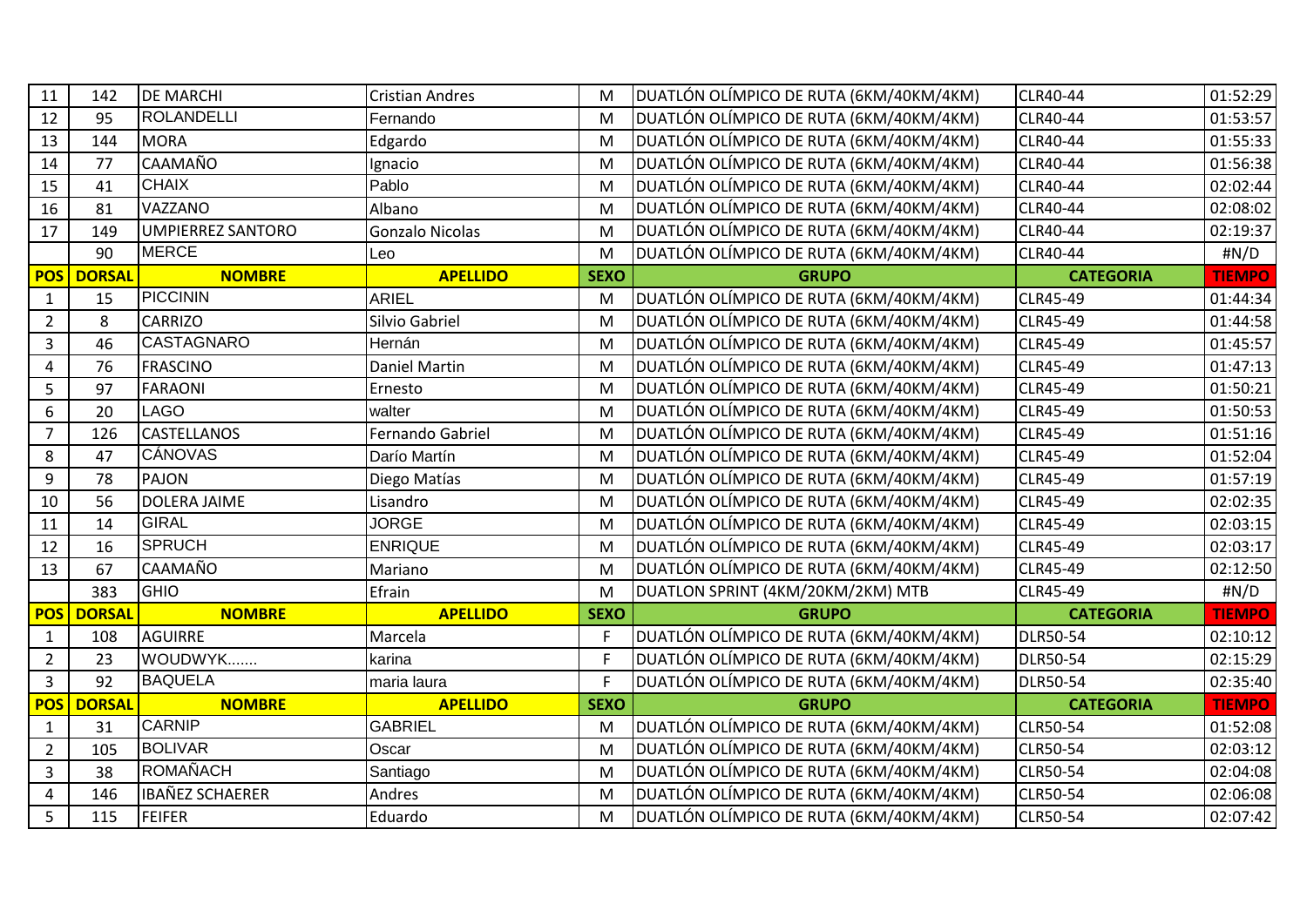| 11                      | 142           | <b>DE MARCHI</b>         | <b>Cristian Andres</b> | M            | DUATLÓN OLÍMPICO DE RUTA (6KM/40KM/4KM) | CLR40-44         | 01:52:29      |
|-------------------------|---------------|--------------------------|------------------------|--------------|-----------------------------------------|------------------|---------------|
| 12                      | 95            | <b>ROLANDELLI</b>        | Fernando               | M            | DUATLÓN OLÍMPICO DE RUTA (6KM/40KM/4KM) | CLR40-44         | 01:53:57      |
| 13                      | 144           | <b>MORA</b>              | Edgardo                | M            | DUATLÓN OLÍMPICO DE RUTA (6KM/40KM/4KM) | CLR40-44         | 01:55:33      |
| 14                      | 77            | CAAMAÑO                  | Ignacio                | M            | DUATLÓN OLÍMPICO DE RUTA (6KM/40KM/4KM) | CLR40-44         | 01:56:38      |
| 15                      | 41            | <b>CHAIX</b>             | Pablo                  | M            | DUATLÓN OLÍMPICO DE RUTA (6KM/40KM/4KM) | CLR40-44         | 02:02:44      |
| 16                      | 81            | VAZZANO                  | Albano                 | M            | DUATLÓN OLÍMPICO DE RUTA (6KM/40KM/4KM) | CLR40-44         | 02:08:02      |
| 17                      | 149           | <b>UMPIERREZ SANTORO</b> | Gonzalo Nicolas        | M            | DUATLÓN OLÍMPICO DE RUTA (6KM/40KM/4KM) | CLR40-44         | 02:19:37      |
|                         | 90            | <b>MERCE</b>             | Leo                    | M            | DUATLÓN OLÍMPICO DE RUTA (6KM/40KM/4KM) | CLR40-44         | #N/D          |
| <b>POS</b>              | <b>DORSAL</b> | <b>NOMBRE</b>            | <b>APELLIDO</b>        | <b>SEXO</b>  | <b>GRUPO</b>                            | <b>CATEGORIA</b> | <b>TIEMPO</b> |
| $\mathbf{1}$            | 15            | <b>PICCININ</b>          | <b>ARIEL</b>           | M            | DUATLÓN OLÍMPICO DE RUTA (6KM/40KM/4KM) | <b>CLR45-49</b>  | 01:44:34      |
| $\overline{2}$          | 8             | <b>CARRIZO</b>           | Silvio Gabriel         | M            | DUATLÓN OLÍMPICO DE RUTA (6KM/40KM/4KM) | CLR45-49         | 01:44:58      |
| $\overline{\mathbf{3}}$ | 46            | <b>CASTAGNARO</b>        | Hernán                 | M            | DUATLÓN OLÍMPICO DE RUTA (6KM/40KM/4KM) | <b>CLR45-49</b>  | 01:45:57      |
| 4                       | 76            | <b>FRASCINO</b>          | <b>Daniel Martin</b>   | M            | DUATLÓN OLÍMPICO DE RUTA (6KM/40KM/4KM) | <b>CLR45-49</b>  | 01:47:13      |
| 5                       | 97            | <b>FARAONI</b>           | Ernesto                | M            | DUATLÓN OLÍMPICO DE RUTA (6KM/40KM/4KM) | CLR45-49         | 01:50:21      |
| 6                       | 20            | <b>LAGO</b>              | walter                 | M            | DUATLÓN OLÍMPICO DE RUTA (6KM/40KM/4KM) | CLR45-49         | 01:50:53      |
| $\overline{7}$          | 126           | <b>CASTELLANOS</b>       | Fernando Gabriel       | M            | DUATLÓN OLÍMPICO DE RUTA (6KM/40KM/4KM) | <b>CLR45-49</b>  | 01:51:16      |
| 8                       | 47            | <b>CÁNOVAS</b>           | Darío Martín           | M            | DUATLÓN OLÍMPICO DE RUTA (6KM/40KM/4KM) | CLR45-49         | 01:52:04      |
| 9                       | 78            | <b>PAJON</b>             | Diego Matías           | M            | DUATLÓN OLÍMPICO DE RUTA (6KM/40KM/4KM) | CLR45-49         | 01:57:19      |
| 10                      | 56            | <b>DOLERA JAIME</b>      | Lisandro               | M            | DUATLÓN OLÍMPICO DE RUTA (6KM/40KM/4KM) | CLR45-49         | 02:02:35      |
| 11                      | 14            | <b>GIRAL</b>             | <b>JORGE</b>           | M            | DUATLÓN OLÍMPICO DE RUTA (6KM/40KM/4KM) | <b>CLR45-49</b>  | 02:03:15      |
| 12                      | 16            | <b>SPRUCH</b>            | <b>ENRIQUE</b>         | M            | DUATLÓN OLÍMPICO DE RUTA (6KM/40KM/4KM) | CLR45-49         | 02:03:17      |
| 13                      | 67            | CAAMAÑO                  | Mariano                | M            | DUATLÓN OLÍMPICO DE RUTA (6KM/40KM/4KM) | <b>CLR45-49</b>  | 02:12:50      |
|                         | 383           | <b>GHIO</b>              | Efrain                 | M            | DUATLON SPRINT (4KM/20KM/2KM) MTB       | CLR45-49         | #N/D          |
| <b>POS</b>              | <b>DORSAL</b> | <b>NOMBRE</b>            | <b>APELLIDO</b>        | <b>SEXO</b>  | <b>GRUPO</b>                            | <b>CATEGORIA</b> | <b>TIEMPO</b> |
| $\mathbf{1}$            | 108           | AGUIRRE                  | Marcela                | E            | DUATLÓN OLÍMPICO DE RUTA (6KM/40KM/4KM) | <b>DLR50-54</b>  | 02:10:12      |
| $\overline{2}$          | 23            | WOUDWYK                  | karina                 | $\mathsf{F}$ | DUATLÓN OLÍMPICO DE RUTA (6KM/40KM/4KM) | DLR50-54         | 02:15:29      |
| $\overline{3}$          | 92            | <b>BAQUELA</b>           | maria laura            | F            | DUATLÓN OLÍMPICO DE RUTA (6KM/40KM/4KM) | <b>DLR50-54</b>  | 02:35:40      |
| <b>POS</b>              | <b>DORSAL</b> | <b>NOMBRE</b>            | <b>APELLIDO</b>        | <b>SEXO</b>  | <b>GRUPO</b>                            | <b>CATEGORIA</b> | <b>TIEMPO</b> |
| $\mathbf{1}$            | 31            | <b>CARNIP</b>            | <b>GABRIEL</b>         | M            | DUATLÓN OLÍMPICO DE RUTA (6KM/40KM/4KM) | CLR50-54         | 01:52:08      |
| $\overline{2}$          | 105           | <b>BOLIVAR</b>           | Oscar                  | M            | DUATLÓN OLÍMPICO DE RUTA (6KM/40KM/4KM) | CLR50-54         | 02:03:12      |
| $\overline{3}$          | 38            | <b>ROMAÑACH</b>          | Santiago               | M            | DUATLÓN OLÍMPICO DE RUTA (6KM/40KM/4KM) | CLR50-54         | 02:04:08      |
| $\overline{4}$          | 146           | <b>IBAÑEZ SCHAERER</b>   | Andres                 | M            | DUATLÓN OLÍMPICO DE RUTA (6KM/40KM/4KM) | CLR50-54         | 02:06:08      |
| 5                       | 115           | <b>FEIFER</b>            | Eduardo                | M            | DUATLÓN OLÍMPICO DE RUTA (6KM/40KM/4KM) | CLR50-54         | 02:07:42      |